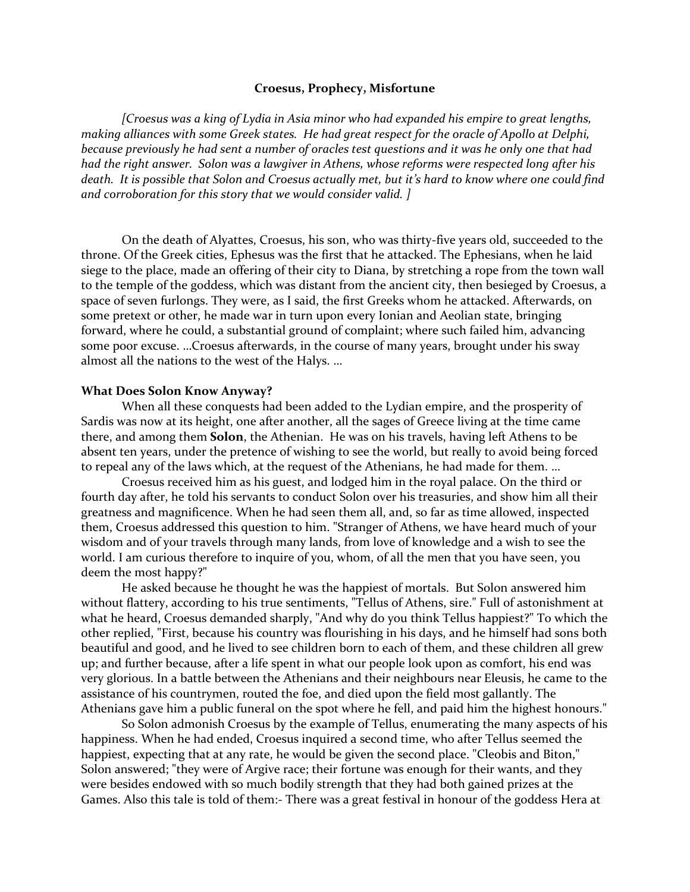### **Croesus, Prophecy, Misfortune**

*[Croesus was a king of Lydia in Asia minor who had expanded his empire to great lengths, making alliances with some Greek states. He had great respect for the oracle of Apollo at Delphi, because previously he had sent a number of oracles test questions and it was he only one that had had the right answer. Solon was a lawgiver in Athens, whose reforms were respected long after his death. It is possible that Solon and Croesus actually met, but it's hard to know where one could find and corroboration for this story that we would consider valid. ]*

On the death of Alyattes, Croesus, his son, who was thirty-five years old, succeeded to the throne. Of the Greek cities, Ephesus was the first that he attacked. The Ephesians, when he laid siege to the place, made an offering of their city to Diana, by stretching a rope from the town wall to the temple of the goddess, which was distant from the ancient city, then besieged by Croesus, a space of seven furlongs. They were, as I said, the first Greeks whom he attacked. Afterwards, on some pretext or other, he made war in turn upon every Ionian and Aeolian state, bringing forward, where he could, a substantial ground of complaint; where such failed him, advancing some poor excuse. …Croesus afterwards, in the course of many years, brought under his sway almost all the nations to the west of the Halys. …

#### **What Does Solon Know Anyway?**

When all these conquests had been added to the Lydian empire, and the prosperity of Sardis was now at its height, one after another, all the sages of Greece living at the time came there, and among them **Solon**, the Athenian. He was on his travels, having left Athens to be absent ten years, under the pretence of wishing to see the world, but really to avoid being forced to repeal any of the laws which, at the request of the Athenians, he had made for them. …

Croesus received him as his guest, and lodged him in the royal palace. On the third or fourth day after, he told his servants to conduct Solon over his treasuries, and show him all their greatness and magnificence. When he had seen them all, and, so far as time allowed, inspected them, Croesus addressed this question to him. "Stranger of Athens, we have heard much of your wisdom and of your travels through many lands, from love of knowledge and a wish to see the world. I am curious therefore to inquire of you, whom, of all the men that you have seen, you deem the most happy?"

He asked because he thought he was the happiest of mortals. But Solon answered him without flattery, according to his true sentiments, "Tellus of Athens, sire." Full of astonishment at what he heard, Croesus demanded sharply, "And why do you think Tellus happiest?" To which the other replied, "First, because his country was flourishing in his days, and he himself had sons both beautiful and good, and he lived to see children born to each of them, and these children all grew up; and further because, after a life spent in what our people look upon as comfort, his end was very glorious. In a battle between the Athenians and their neighbours near Eleusis, he came to the assistance of his countrymen, routed the foe, and died upon the field most gallantly. The Athenians gave him a public funeral on the spot where he fell, and paid him the highest honours."

So Solon admonish Croesus by the example of Tellus, enumerating the many aspects of his happiness. When he had ended, Croesus inquired a second time, who after Tellus seemed the happiest, expecting that at any rate, he would be given the second place. "Cleobis and Biton," Solon answered; "they were of Argive race; their fortune was enough for their wants, and they were besides endowed with so much bodily strength that they had both gained prizes at the Games. Also this tale is told of them:- There was a great festival in honour of the goddess Hera at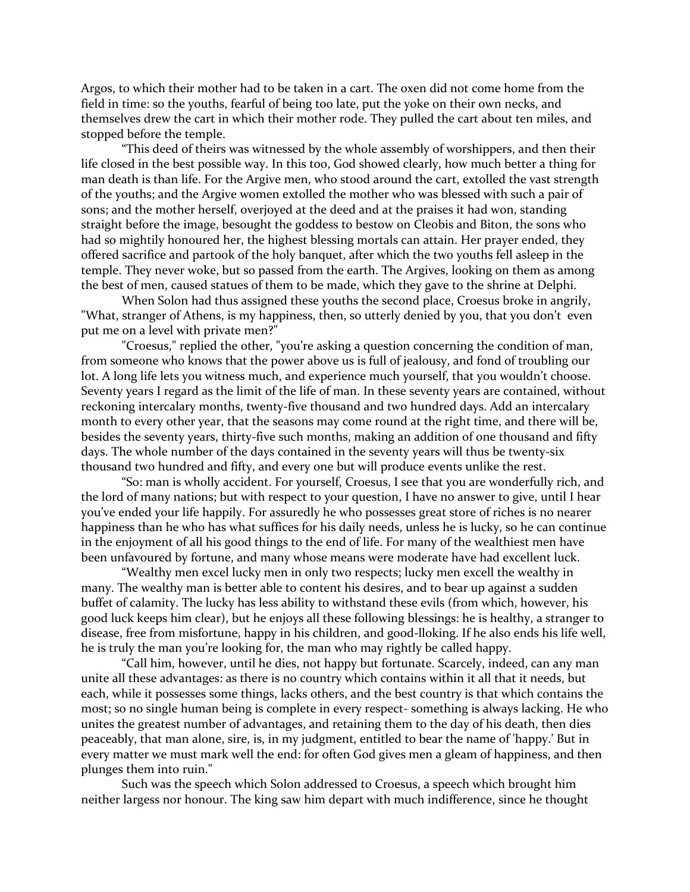Argos, to which their mother had to be taken in a cart. The oxen did not come home from the field in time: so the youths, fearful of being too late, put the yoke on their own necks, and themselves drew the cart in which their mother rode. They pulled the cart about ten miles, and stopped before the temple.

"This deed of theirs was witnessed by the whole assembly of worshippers, and then their life closed in the best possible way. In this too, God showed clearly, how much better a thing for man death is than life. For the Argive men, who stood around the cart, extolled the vast strength of the youths; and the Argive women extolled the mother who was blessed with such a pair of sons; and the mother herself, overjoyed at the deed and at the praises it had won, standing straight before the image, besought the goddess to bestow on Cleobis and Biton, the sons who had so mightily honoured her, the highest blessing mortals can attain. Her prayer ended, they offered sacrifice and partook of the holy banquet, after which the two youths fell asleep in the temple. They never woke, but so passed from the earth. The Argives, looking on them as among the best of men, caused statues of them to be made, which they gave to the shrine at Delphi.

When Solon had thus assigned these youths the second place, Croesus broke in angrily, "What, stranger of Athens, is my happiness, then, so utterly denied by you, that you don't even put me on a level with private men?"

"Croesus," replied the other, "you're asking a question concerning the condition of man, from someone who knows that the power above us is full of jealousy, and fond of troubling our lot. A long life lets you witness much, and experience much yourself, that you wouldn't choose. Seventy years I regard as the limit of the life of man. In these seventy years are contained, without reckoning intercalary months, twenty-five thousand and two hundred days. Add an intercalary month to every other year, that the seasons may come round at the right time, and there will be, besides the seventy years, thirty-five such months, making an addition of one thousand and fifty days. The whole number of the days contained in the seventy years will thus be twenty-six thousand two hundred and fifty, and every one but will produce events unlike the rest.

"So: man is wholly accident. For yourself, Croesus, I see that you are wonderfully rich, and the lord of many nations; but with respect to your question, I have no answer to give, until I hear you've ended your life happily. For assuredly he who possesses great store of riches is no nearer happiness than he who has what suffices for his daily needs, unless he is lucky, so he can continue in the enjoyment of all his good things to the end of life. For many of the wealthiest men have been unfavoured by fortune, and many whose means were moderate have had excellent luck.

"Wealthy men excel lucky men in only two respects; lucky men excell the wealthy in many. The wealthy man is better able to content his desires, and to bear up against a sudden buffet of calamity. The lucky has less ability to withstand these evils (from which, however, his good luck keeps him clear), but he enjoys all these following blessings: he is healthy, a stranger to disease, free from misfortune, happy in his children, and good-lloking. If he also ends his life well, he is truly the man you're looking for, the man who may rightly be called happy.

"Call him, however, until he dies, not happy but fortunate. Scarcely, indeed, can any man unite all these advantages: as there is no country which contains within it all that it needs, but each, while it possesses some things, lacks others, and the best country is that which contains the most; so no single human being is complete in every respect- something is always lacking. He who unites the greatest number of advantages, and retaining them to the day of his death, then dies peaceably, that man alone, sire, is, in my judgment, entitled to bear the name of 'happy.' But in every matter we must mark well the end: for often God gives men a gleam of happiness, and then plunges them into ruin."

Such was the speech which Solon addressed to Croesus, a speech which brought him neither largess nor honour. The king saw him depart with much indifference, since he thought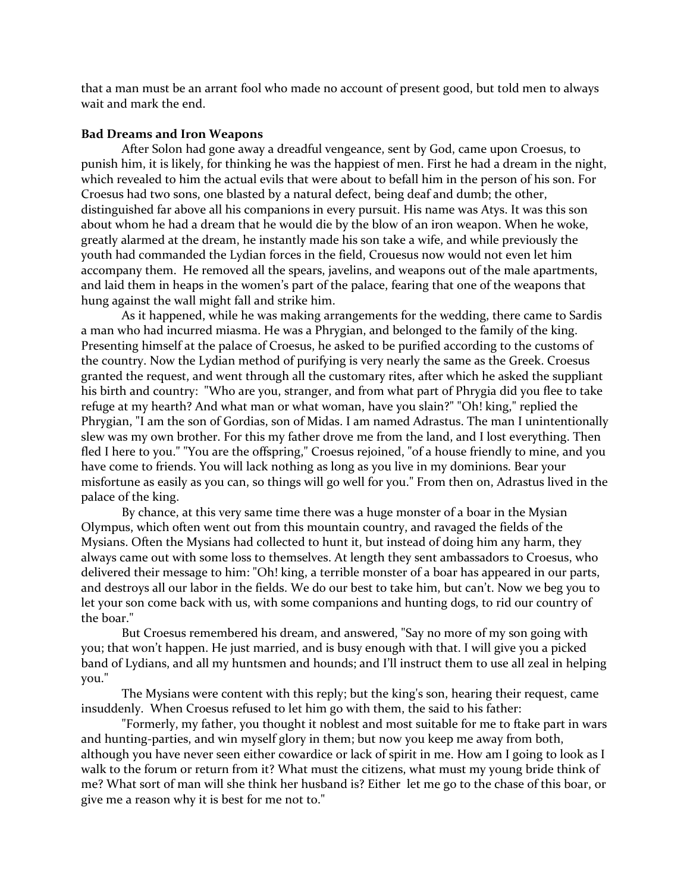that a man must be an arrant fool who made no account of present good, but told men to always wait and mark the end.

#### **Bad Dreams and Iron Weapons**

After Solon had gone away a dreadful vengeance, sent by God, came upon Croesus, to punish him, it is likely, for thinking he was the happiest of men. First he had a dream in the night, which revealed to him the actual evils that were about to befall him in the person of his son. For Croesus had two sons, one blasted by a natural defect, being deaf and dumb; the other, distinguished far above all his companions in every pursuit. His name was Atys. It was this son about whom he had a dream that he would die by the blow of an iron weapon. When he woke, greatly alarmed at the dream, he instantly made his son take a wife, and while previously the youth had commanded the Lydian forces in the field, Crouesus now would not even let him accompany them. He removed all the spears, javelins, and weapons out of the male apartments, and laid them in heaps in the women's part of the palace, fearing that one of the weapons that hung against the wall might fall and strike him.

As it happened, while he was making arrangements for the wedding, there came to Sardis a man who had incurred miasma. He was a Phrygian, and belonged to the family of the king. Presenting himself at the palace of Croesus, he asked to be purified according to the customs of the country. Now the Lydian method of purifying is very nearly the same as the Greek. Croesus granted the request, and went through all the customary rites, after which he asked the suppliant his birth and country: "Who are you, stranger, and from what part of Phrygia did you flee to take refuge at my hearth? And what man or what woman, have you slain?" "Oh! king," replied the Phrygian, "I am the son of Gordias, son of Midas. I am named Adrastus. The man I unintentionally slew was my own brother. For this my father drove me from the land, and I lost everything. Then fled I here to you." "You are the offspring," Croesus rejoined, "of a house friendly to mine, and you have come to friends. You will lack nothing as long as you live in my dominions. Bear your misfortune as easily as you can, so things will go well for you." From then on, Adrastus lived in the palace of the king.

By chance, at this very same time there was a huge monster of a boar in the Mysian Olympus, which often went out from this mountain country, and ravaged the fields of the Mysians. Often the Mysians had collected to hunt it, but instead of doing him any harm, they always came out with some loss to themselves. At length they sent ambassadors to Croesus, who delivered their message to him: "Oh! king, a terrible monster of a boar has appeared in our parts, and destroys all our labor in the fields. We do our best to take him, but can't. Now we beg you to let your son come back with us, with some companions and hunting dogs, to rid our country of the boar."

But Croesus remembered his dream, and answered, "Say no more of my son going with you; that won't happen. He just married, and is busy enough with that. I will give you a picked band of Lydians, and all my huntsmen and hounds; and I'll instruct them to use all zeal in helping you."

The Mysians were content with this reply; but the king's son, hearing their request, came insuddenly. When Croesus refused to let him go with them, the said to his father:

"Formerly, my father, you thought it noblest and most suitable for me to ftake part in wars and hunting-parties, and win myself glory in them; but now you keep me away from both, although you have never seen either cowardice or lack of spirit in me. How am I going to look as I walk to the forum or return from it? What must the citizens, what must my young bride think of me? What sort of man will she think her husband is? Either let me go to the chase of this boar, or give me a reason why it is best for me not to."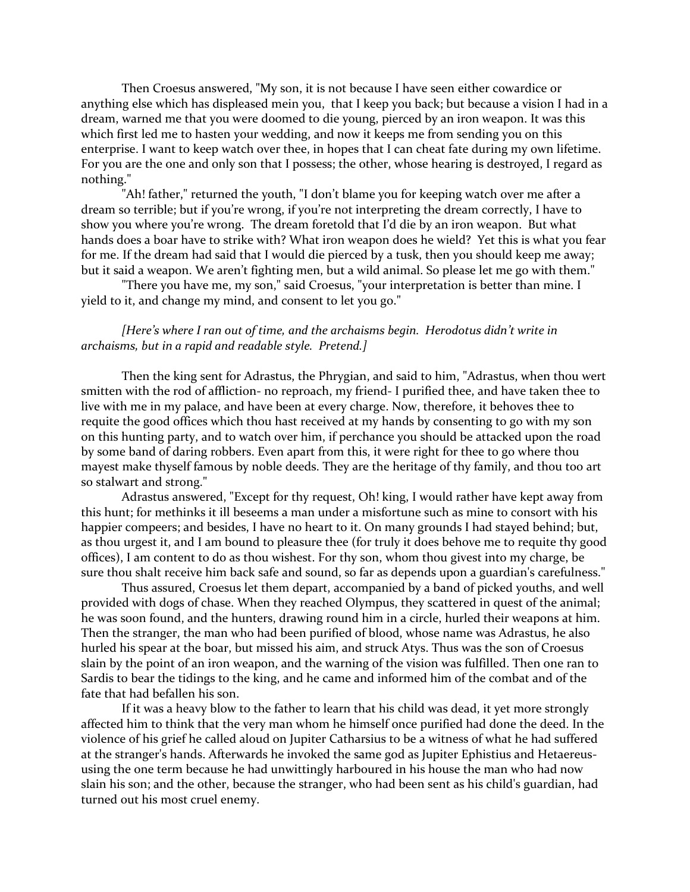Then Croesus answered, "My son, it is not because I have seen either cowardice or anything else which has displeased mein you, that I keep you back; but because a vision I had in a dream, warned me that you were doomed to die young, pierced by an iron weapon. It was this which first led me to hasten your wedding, and now it keeps me from sending you on this enterprise. I want to keep watch over thee, in hopes that I can cheat fate during my own lifetime. For you are the one and only son that I possess; the other, whose hearing is destroyed, I regard as nothing."

"Ah! father," returned the youth, "I don't blame you for keeping watch over me after a dream so terrible; but if you're wrong, if you're not interpreting the dream correctly, I have to show you where you're wrong. The dream foretold that I'd die by an iron weapon. But what hands does a boar have to strike with? What iron weapon does he wield? Yet this is what you fear for me. If the dream had said that I would die pierced by a tusk, then you should keep me away; but it said a weapon. We aren't fighting men, but a wild animal. So please let me go with them."

"There you have me, my son," said Croesus, "your interpretation is better than mine. I yield to it, and change my mind, and consent to let you go."

# *[Here's where I ran out of time, and the archaisms begin. Herodotus didn't write in archaisms, but in a rapid and readable style. Pretend.]*

Then the king sent for Adrastus, the Phrygian, and said to him, "Adrastus, when thou wert smitten with the rod of affliction- no reproach, my friend- I purified thee, and have taken thee to live with me in my palace, and have been at every charge. Now, therefore, it behoves thee to requite the good offices which thou hast received at my hands by consenting to go with my son on this hunting party, and to watch over him, if perchance you should be attacked upon the road by some band of daring robbers. Even apart from this, it were right for thee to go where thou mayest make thyself famous by noble deeds. They are the heritage of thy family, and thou too art so stalwart and strong."

Adrastus answered, "Except for thy request, Oh! king, I would rather have kept away from this hunt; for methinks it ill beseems a man under a misfortune such as mine to consort with his happier compeers; and besides, I have no heart to it. On many grounds I had stayed behind; but, as thou urgest it, and I am bound to pleasure thee (for truly it does behove me to requite thy good offices), I am content to do as thou wishest. For thy son, whom thou givest into my charge, be sure thou shalt receive him back safe and sound, so far as depends upon a guardian's carefulness."

Thus assured, Croesus let them depart, accompanied by a band of picked youths, and well provided with dogs of chase. When they reached Olympus, they scattered in quest of the animal; he was soon found, and the hunters, drawing round him in a circle, hurled their weapons at him. Then the stranger, the man who had been purified of blood, whose name was Adrastus, he also hurled his spear at the boar, but missed his aim, and struck Atys. Thus was the son of Croesus slain by the point of an iron weapon, and the warning of the vision was fulfilled. Then one ran to Sardis to bear the tidings to the king, and he came and informed him of the combat and of the fate that had befallen his son.

If it was a heavy blow to the father to learn that his child was dead, it yet more strongly affected him to think that the very man whom he himself once purified had done the deed. In the violence of his grief he called aloud on Jupiter Catharsius to be a witness of what he had suffered at the stranger's hands. Afterwards he invoked the same god as Jupiter Ephistius and Hetaereususing the one term because he had unwittingly harboured in his house the man who had now slain his son; and the other, because the stranger, who had been sent as his child's guardian, had turned out his most cruel enemy.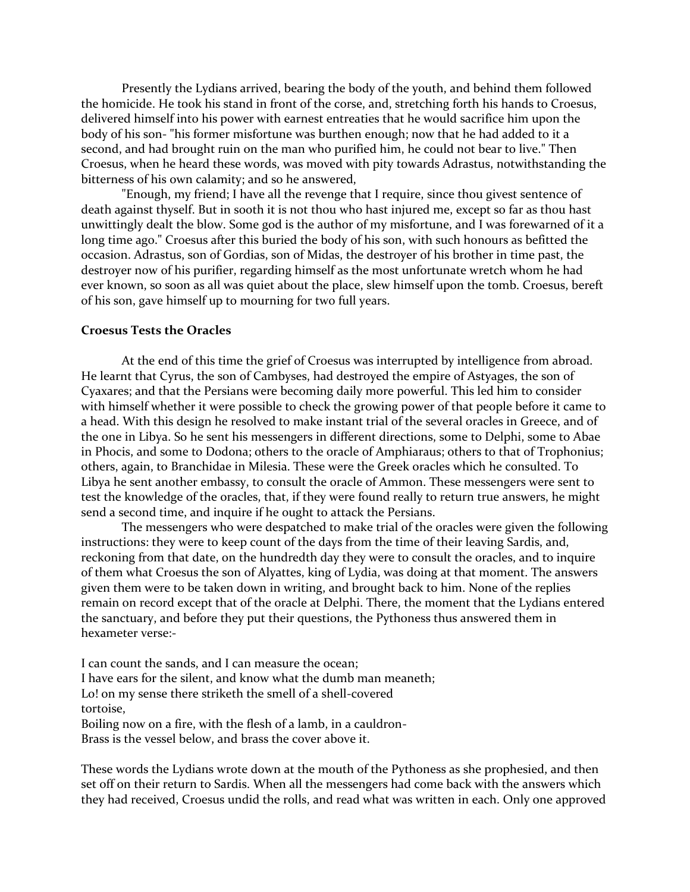Presently the Lydians arrived, bearing the body of the youth, and behind them followed the homicide. He took his stand in front of the corse, and, stretching forth his hands to Croesus, delivered himself into his power with earnest entreaties that he would sacrifice him upon the body of his son- "his former misfortune was burthen enough; now that he had added to it a second, and had brought ruin on the man who purified him, he could not bear to live." Then Croesus, when he heard these words, was moved with pity towards Adrastus, notwithstanding the bitterness of his own calamity; and so he answered,

"Enough, my friend; I have all the revenge that I require, since thou givest sentence of death against thyself. But in sooth it is not thou who hast injured me, except so far as thou hast unwittingly dealt the blow. Some god is the author of my misfortune, and I was forewarned of it a long time ago." Croesus after this buried the body of his son, with such honours as befitted the occasion. Adrastus, son of Gordias, son of Midas, the destroyer of his brother in time past, the destroyer now of his purifier, regarding himself as the most unfortunate wretch whom he had ever known, so soon as all was quiet about the place, slew himself upon the tomb. Croesus, bereft of his son, gave himself up to mourning for two full years.

# **Croesus Tests the Oracles**

At the end of this time the grief of Croesus was interrupted by intelligence from abroad. He learnt that Cyrus, the son of Cambyses, had destroyed the empire of Astyages, the son of Cyaxares; and that the Persians were becoming daily more powerful. This led him to consider with himself whether it were possible to check the growing power of that people before it came to a head. With this design he resolved to make instant trial of the several oracles in Greece, and of the one in Libya. So he sent his messengers in different directions, some to Delphi, some to Abae in Phocis, and some to Dodona; others to the oracle of Amphiaraus; others to that of Trophonius; others, again, to Branchidae in Milesia. These were the Greek oracles which he consulted. To Libya he sent another embassy, to consult the oracle of Ammon. These messengers were sent to test the knowledge of the oracles, that, if they were found really to return true answers, he might send a second time, and inquire if he ought to attack the Persians.

The messengers who were despatched to make trial of the oracles were given the following instructions: they were to keep count of the days from the time of their leaving Sardis, and, reckoning from that date, on the hundredth day they were to consult the oracles, and to inquire of them what Croesus the son of Alyattes, king of Lydia, was doing at that moment. The answers given them were to be taken down in writing, and brought back to him. None of the replies remain on record except that of the oracle at Delphi. There, the moment that the Lydians entered the sanctuary, and before they put their questions, the Pythoness thus answered them in hexameter verse:-

I can count the sands, and I can measure the ocean; I have ears for the silent, and know what the dumb man meaneth; Lo! on my sense there striketh the smell of a shell-covered tortoise, Boiling now on a fire, with the flesh of a lamb, in a cauldron-Brass is the vessel below, and brass the cover above it.

These words the Lydians wrote down at the mouth of the Pythoness as she prophesied, and then set off on their return to Sardis. When all the messengers had come back with the answers which they had received, Croesus undid the rolls, and read what was written in each. Only one approved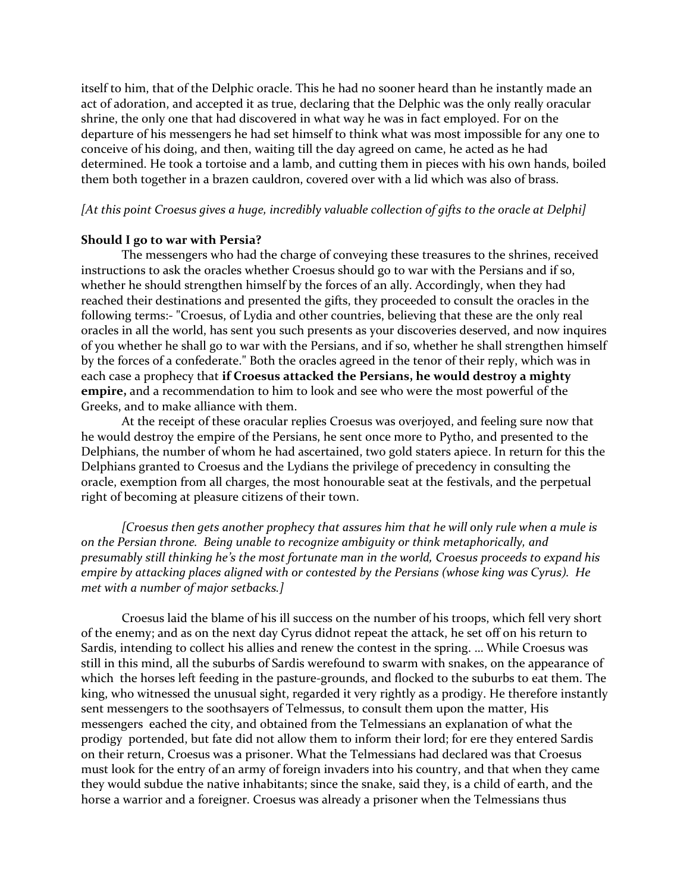itself to him, that of the Delphic oracle. This he had no sooner heard than he instantly made an act of adoration, and accepted it as true, declaring that the Delphic was the only really oracular shrine, the only one that had discovered in what way he was in fact employed. For on the departure of his messengers he had set himself to think what was most impossible for any one to conceive of his doing, and then, waiting till the day agreed on came, he acted as he had determined. He took a tortoise and a lamb, and cutting them in pieces with his own hands, boiled them both together in a brazen cauldron, covered over with a lid which was also of brass.

# *[At this point Croesus gives a huge, incredibly valuable collection of gifts to the oracle at Delphi]*

## **Should I go to war with Persia?**

The messengers who had the charge of conveying these treasures to the shrines, received instructions to ask the oracles whether Croesus should go to war with the Persians and if so, whether he should strengthen himself by the forces of an ally. Accordingly, when they had reached their destinations and presented the gifts, they proceeded to consult the oracles in the following terms:- "Croesus, of Lydia and other countries, believing that these are the only real oracles in all the world, has sent you such presents as your discoveries deserved, and now inquires of you whether he shall go to war with the Persians, and if so, whether he shall strengthen himself by the forces of a confederate." Both the oracles agreed in the tenor of their reply, which was in each case a prophecy that **if Croesus attacked the Persians, he would destroy a mighty empire,** and a recommendation to him to look and see who were the most powerful of the Greeks, and to make alliance with them.

At the receipt of these oracular replies Croesus was overjoyed, and feeling sure now that he would destroy the empire of the Persians, he sent once more to Pytho, and presented to the Delphians, the number of whom he had ascertained, two gold staters apiece. In return for this the Delphians granted to Croesus and the Lydians the privilege of precedency in consulting the oracle, exemption from all charges, the most honourable seat at the festivals, and the perpetual right of becoming at pleasure citizens of their town.

*[Croesus then gets another prophecy that assures him that he will only rule when a mule is on the Persian throne. Being unable to recognize ambiguity or think metaphorically, and presumably still thinking he's the most fortunate man in the world, Croesus proceeds to expand his empire by attacking places aligned with or contested by the Persians (whose king was Cyrus). He met with a number of major setbacks.]*

Croesus laid the blame of his ill success on the number of his troops, which fell very short of the enemy; and as on the next day Cyrus didnot repeat the attack, he set off on his return to Sardis, intending to collect his allies and renew the contest in the spring. … While Croesus was still in this mind, all the suburbs of Sardis werefound to swarm with snakes, on the appearance of which the horses left feeding in the pasture-grounds, and flocked to the suburbs to eat them. The king, who witnessed the unusual sight, regarded it very rightly as a prodigy. He therefore instantly sent messengers to the soothsayers of Telmessus, to consult them upon the matter, His messengers eached the city, and obtained from the Telmessians an explanation of what the prodigy portended, but fate did not allow them to inform their lord; for ere they entered Sardis on their return, Croesus was a prisoner. What the Telmessians had declared was that Croesus must look for the entry of an army of foreign invaders into his country, and that when they came they would subdue the native inhabitants; since the snake, said they, is a child of earth, and the horse a warrior and a foreigner. Croesus was already a prisoner when the Telmessians thus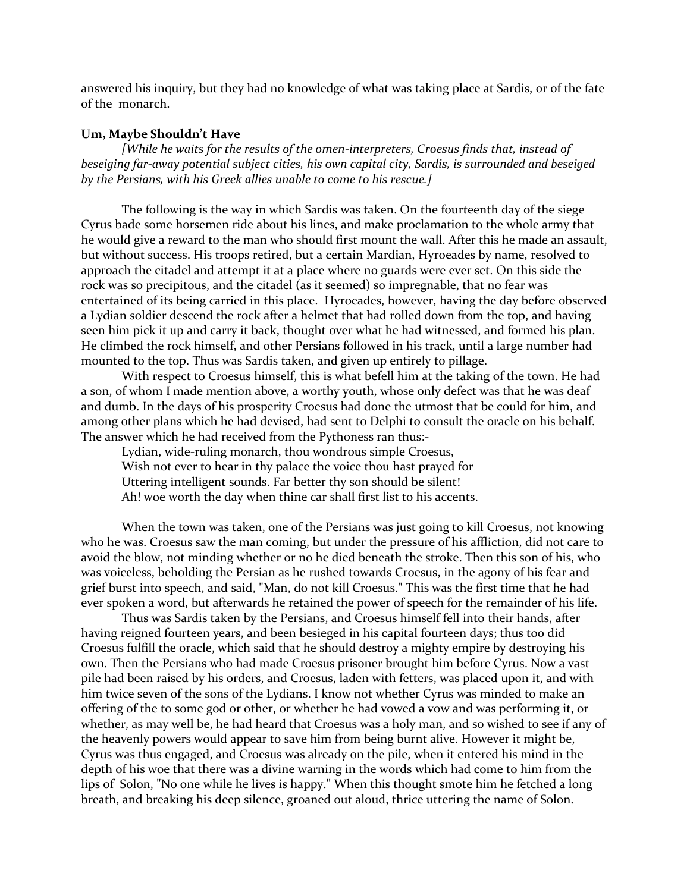answered his inquiry, but they had no knowledge of what was taking place at Sardis, or of the fate of the monarch.

#### **Um, Maybe Shouldn't Have**

*[While he waits for the results of the omen-interpreters, Croesus finds that, instead of beseiging far-away potential subject cities, his own capital city, Sardis, is surrounded and beseiged by the Persians, with his Greek allies unable to come to his rescue.]*

The following is the way in which Sardis was taken. On the fourteenth day of the siege Cyrus bade some horsemen ride about his lines, and make proclamation to the whole army that he would give a reward to the man who should first mount the wall. After this he made an assault, but without success. His troops retired, but a certain Mardian, Hyroeades by name, resolved to approach the citadel and attempt it at a place where no guards were ever set. On this side the rock was so precipitous, and the citadel (as it seemed) so impregnable, that no fear was entertained of its being carried in this place. Hyroeades, however, having the day before observed a Lydian soldier descend the rock after a helmet that had rolled down from the top, and having seen him pick it up and carry it back, thought over what he had witnessed, and formed his plan. He climbed the rock himself, and other Persians followed in his track, until a large number had mounted to the top. Thus was Sardis taken, and given up entirely to pillage.

With respect to Croesus himself, this is what befell him at the taking of the town. He had a son, of whom I made mention above, a worthy youth, whose only defect was that he was deaf and dumb. In the days of his prosperity Croesus had done the utmost that be could for him, and among other plans which he had devised, had sent to Delphi to consult the oracle on his behalf. The answer which he had received from the Pythoness ran thus:-

Lydian, wide-ruling monarch, thou wondrous simple Croesus, Wish not ever to hear in thy palace the voice thou hast prayed for Uttering intelligent sounds. Far better thy son should be silent! Ah! woe worth the day when thine car shall first list to his accents.

When the town was taken, one of the Persians was just going to kill Croesus, not knowing who he was. Croesus saw the man coming, but under the pressure of his affliction, did not care to avoid the blow, not minding whether or no he died beneath the stroke. Then this son of his, who was voiceless, beholding the Persian as he rushed towards Croesus, in the agony of his fear and grief burst into speech, and said, "Man, do not kill Croesus." This was the first time that he had ever spoken a word, but afterwards he retained the power of speech for the remainder of his life.

Thus was Sardis taken by the Persians, and Croesus himself fell into their hands, after having reigned fourteen years, and been besieged in his capital fourteen days; thus too did Croesus fulfill the oracle, which said that he should destroy a mighty empire by destroying his own. Then the Persians who had made Croesus prisoner brought him before Cyrus. Now a vast pile had been raised by his orders, and Croesus, laden with fetters, was placed upon it, and with him twice seven of the sons of the Lydians. I know not whether Cyrus was minded to make an offering of the to some god or other, or whether he had vowed a vow and was performing it, or whether, as may well be, he had heard that Croesus was a holy man, and so wished to see if any of the heavenly powers would appear to save him from being burnt alive. However it might be, Cyrus was thus engaged, and Croesus was already on the pile, when it entered his mind in the depth of his woe that there was a divine warning in the words which had come to him from the lips of Solon, "No one while he lives is happy." When this thought smote him he fetched a long breath, and breaking his deep silence, groaned out aloud, thrice uttering the name of Solon.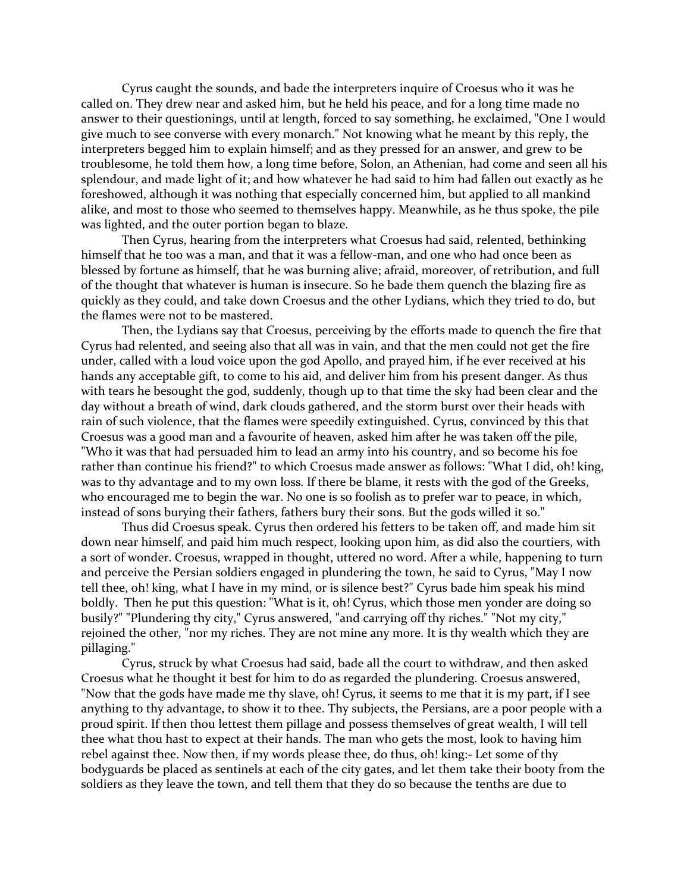Cyrus caught the sounds, and bade the interpreters inquire of Croesus who it was he called on. They drew near and asked him, but he held his peace, and for a long time made no answer to their questionings, until at length, forced to say something, he exclaimed, "One I would give much to see converse with every monarch." Not knowing what he meant by this reply, the interpreters begged him to explain himself; and as they pressed for an answer, and grew to be troublesome, he told them how, a long time before, Solon, an Athenian, had come and seen all his splendour, and made light of it; and how whatever he had said to him had fallen out exactly as he foreshowed, although it was nothing that especially concerned him, but applied to all mankind alike, and most to those who seemed to themselves happy. Meanwhile, as he thus spoke, the pile was lighted, and the outer portion began to blaze.

Then Cyrus, hearing from the interpreters what Croesus had said, relented, bethinking himself that he too was a man, and that it was a fellow-man, and one who had once been as blessed by fortune as himself, that he was burning alive; afraid, moreover, of retribution, and full of the thought that whatever is human is insecure. So he bade them quench the blazing fire as quickly as they could, and take down Croesus and the other Lydians, which they tried to do, but the flames were not to be mastered.

Then, the Lydians say that Croesus, perceiving by the efforts made to quench the fire that Cyrus had relented, and seeing also that all was in vain, and that the men could not get the fire under, called with a loud voice upon the god Apollo, and prayed him, if he ever received at his hands any acceptable gift, to come to his aid, and deliver him from his present danger. As thus with tears he besought the god, suddenly, though up to that time the sky had been clear and the day without a breath of wind, dark clouds gathered, and the storm burst over their heads with rain of such violence, that the flames were speedily extinguished. Cyrus, convinced by this that Croesus was a good man and a favourite of heaven, asked him after he was taken off the pile, "Who it was that had persuaded him to lead an army into his country, and so become his foe rather than continue his friend?" to which Croesus made answer as follows: "What I did, oh! king, was to thy advantage and to my own loss. If there be blame, it rests with the god of the Greeks, who encouraged me to begin the war. No one is so foolish as to prefer war to peace, in which, instead of sons burying their fathers, fathers bury their sons. But the gods willed it so."

Thus did Croesus speak. Cyrus then ordered his fetters to be taken off, and made him sit down near himself, and paid him much respect, looking upon him, as did also the courtiers, with a sort of wonder. Croesus, wrapped in thought, uttered no word. After a while, happening to turn and perceive the Persian soldiers engaged in plundering the town, he said to Cyrus, "May I now tell thee, oh! king, what I have in my mind, or is silence best?" Cyrus bade him speak his mind boldly. Then he put this question: "What is it, oh! Cyrus, which those men yonder are doing so busily?" "Plundering thy city," Cyrus answered, "and carrying off thy riches." "Not my city," rejoined the other, "nor my riches. They are not mine any more. It is thy wealth which they are pillaging."

Cyrus, struck by what Croesus had said, bade all the court to withdraw, and then asked Croesus what he thought it best for him to do as regarded the plundering. Croesus answered, "Now that the gods have made me thy slave, oh! Cyrus, it seems to me that it is my part, if I see anything to thy advantage, to show it to thee. Thy subjects, the Persians, are a poor people with a proud spirit. If then thou lettest them pillage and possess themselves of great wealth, I will tell thee what thou hast to expect at their hands. The man who gets the most, look to having him rebel against thee. Now then, if my words please thee, do thus, oh! king:- Let some of thy bodyguards be placed as sentinels at each of the city gates, and let them take their booty from the soldiers as they leave the town, and tell them that they do so because the tenths are due to